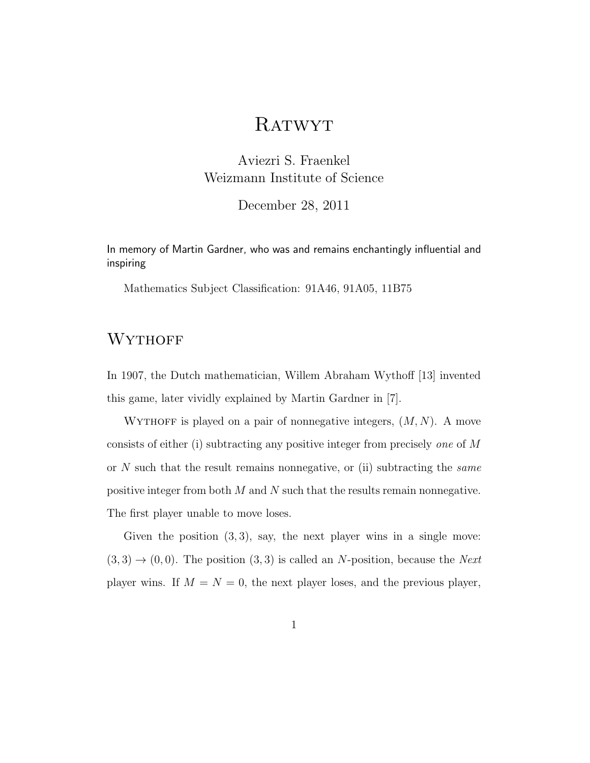# **RATWYT**

Aviezri S. Fraenkel Weizmann Institute of Science

December 28, 2011

In memory of Martin Gardner, who was and remains enchantingly influential and inspiring

Mathematics Subject Classification: 91A46, 91A05, 11B75

## **WYTHOFF**

In 1907, the Dutch mathematician, Willem Abraham Wythoff [13] invented this game, later vividly explained by Martin Gardner in [7].

WYTHOFF is played on a pair of nonnegative integers,  $(M, N)$ . A move consists of either (i) subtracting any positive integer from precisely one of M or  $N$  such that the result remains nonnegative, or (ii) subtracting the *same* positive integer from both  $M$  and  $N$  such that the results remain nonnegative. The first player unable to move loses.

Given the position  $(3, 3)$ , say, the next player wins in a single move:  $(3,3) \rightarrow (0,0)$ . The position  $(3,3)$  is called an N-position, because the Next player wins. If  $M = N = 0$ , the next player loses, and the previous player,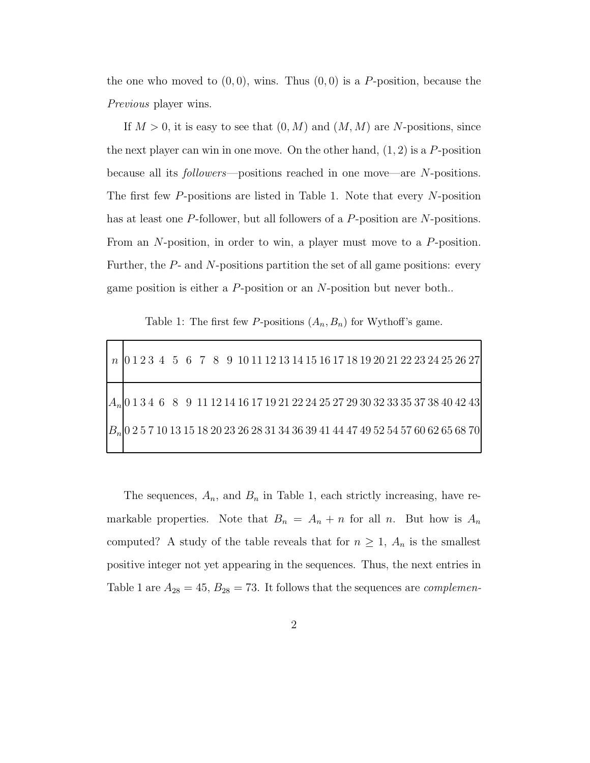the one who moved to  $(0, 0)$ , wins. Thus  $(0, 0)$  is a P-position, because the Previous player wins.

If  $M > 0$ , it is easy to see that  $(0, M)$  and  $(M, M)$  are N-positions, since the next player can win in one move. On the other hand,  $(1, 2)$  is a P-position because all its followers—positions reached in one move—are N-positions. The first few P-positions are listed in Table 1. Note that every N-position has at least one P-follower, but all followers of a P-position are N-positions. From an N-position, in order to win, a player must move to a P-position. Further, the P- and N-positions partition the set of all game positions: every game position is either a P-position or an N-position but never both..

Table 1: The first few P-positions  $(A_n, B_n)$  for Wythoff's game.

|  |  |  |  |  |  |  |  |  |  |  |  |  |  | $n$   0 1 2 3 4 5 6 7 8 9 10 11 12 13 14 15 16 17 18 19 20 21 22 23 24 25 26 27         |
|--|--|--|--|--|--|--|--|--|--|--|--|--|--|-----------------------------------------------------------------------------------------|
|  |  |  |  |  |  |  |  |  |  |  |  |  |  | $A_n$  0 1 3 4 6 8 9 11 12 14 16 17 19 21 22 24 25 27 29 30 32 33 35 37 38 40 42 43     |
|  |  |  |  |  |  |  |  |  |  |  |  |  |  | $ B_n $ 0 2 5 7 10 13 15 18 20 23 26 28 31 34 36 39 41 44 47 49 52 54 57 60 62 65 68 70 |

The sequences,  $A_n$ , and  $B_n$  in Table 1, each strictly increasing, have remarkable properties. Note that  $B_n = A_n + n$  for all n. But how is  $A_n$ computed? A study of the table reveals that for  $n \geq 1$ ,  $A_n$  is the smallest positive integer not yet appearing in the sequences. Thus, the next entries in Table 1 are  $A_{28} = 45$ ,  $B_{28} = 73$ . It follows that the sequences are *complemen*-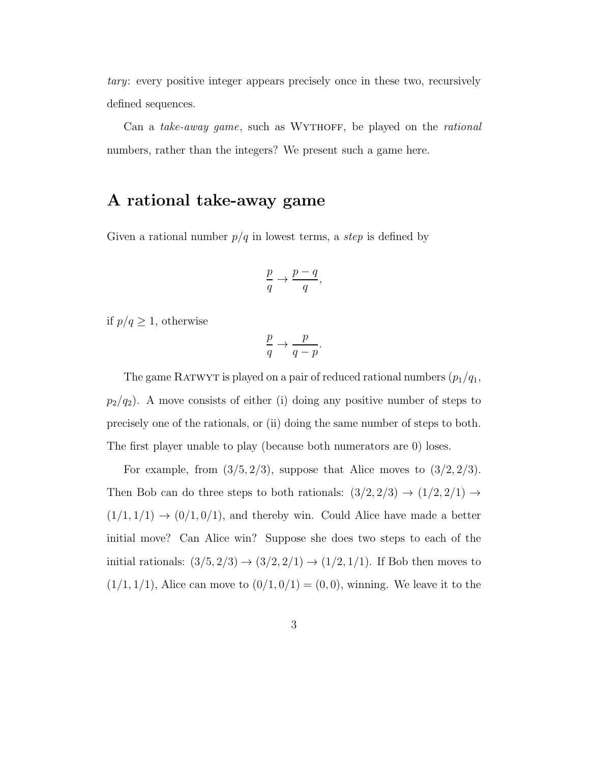tary: every positive integer appears precisely once in these two, recursively defined sequences.

Can a take-away game, such as WYTHOFF, be played on the rational numbers, rather than the integers? We present such a game here.

#### A rational take-away game

Given a rational number  $p/q$  in lowest terms, a *step* is defined by

$$
\frac{p}{q} \to \frac{p-q}{q},
$$

if  $p/q \geq 1$ , otherwise

$$
\frac{p}{q} \to \frac{p}{q-p}.
$$

The game RATWYT is played on a pair of reduced rational numbers  $(p_1/q_1,$  $p_2/q_2$ ). A move consists of either (i) doing any positive number of steps to precisely one of the rationals, or (ii) doing the same number of steps to both. The first player unable to play (because both numerators are 0) loses.

For example, from  $(3/5, 2/3)$ , suppose that Alice moves to  $(3/2, 2/3)$ . Then Bob can do three steps to both rationals:  $(3/2, 2/3) \rightarrow (1/2, 2/1) \rightarrow$  $(1/1, 1/1) \rightarrow (0/1, 0/1)$ , and thereby win. Could Alice have made a better initial move? Can Alice win? Suppose she does two steps to each of the initial rationals:  $(3/5, 2/3) \to (3/2, 2/1) \to (1/2, 1/1)$ . If Bob then moves to  $(1/1, 1/1)$ , Alice can move to  $(0/1, 0/1) = (0, 0)$ , winning. We leave it to the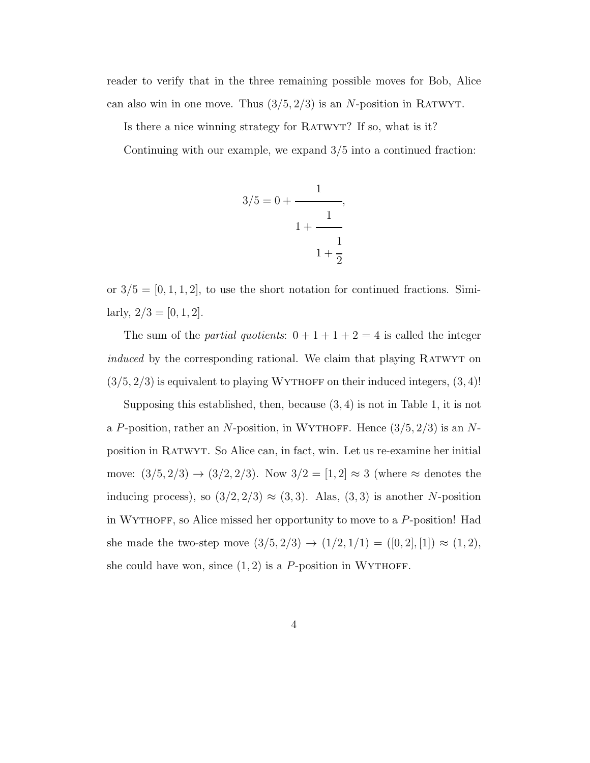reader to verify that in the three remaining possible moves for Bob, Alice can also win in one move. Thus  $(3/5, 2/3)$  is an N-position in RATWYT.

Is there a nice winning strategy for RATWYT? If so, what is it?

Continuing with our example, we expand 3/5 into a continued fraction:

$$
3/5 = 0 + \cfrac{1}{1 + \cfrac{1}{1 + \cfrac{1}{2}}}
$$

or  $3/5 = [0, 1, 1, 2]$ , to use the short notation for continued fractions. Similarly,  $2/3 = [0, 1, 2]$ .

The sum of the *partial quotients*:  $0 + 1 + 1 + 2 = 4$  is called the integer induced by the corresponding rational. We claim that playing RATWYT on  $(3/5, 2/3)$  is equivalent to playing WYTHOFF on their induced integers,  $(3, 4)!$ 

Supposing this established, then, because (3, 4) is not in Table 1, it is not a P-position, rather an N-position, in WYTHOFF. Hence  $(3/5, 2/3)$  is an Nposition in Ratwyt. So Alice can, in fact, win. Let us re-examine her initial move:  $(3/5, 2/3) \to (3/2, 2/3)$ . Now  $3/2 = [1, 2] \approx 3$  (where  $\approx$  denotes the inducing process), so  $(3/2, 2/3) \approx (3, 3)$ . Alas,  $(3, 3)$  is another N-position in WYTHOFF, so Alice missed her opportunity to move to a  $P$ -position! Had she made the two-step move  $(3/5, 2/3) \rightarrow (1/2, 1/1) = ([0, 2], [1]) \approx (1, 2),$ she could have won, since  $(1, 2)$  is a P-position in WYTHOFF.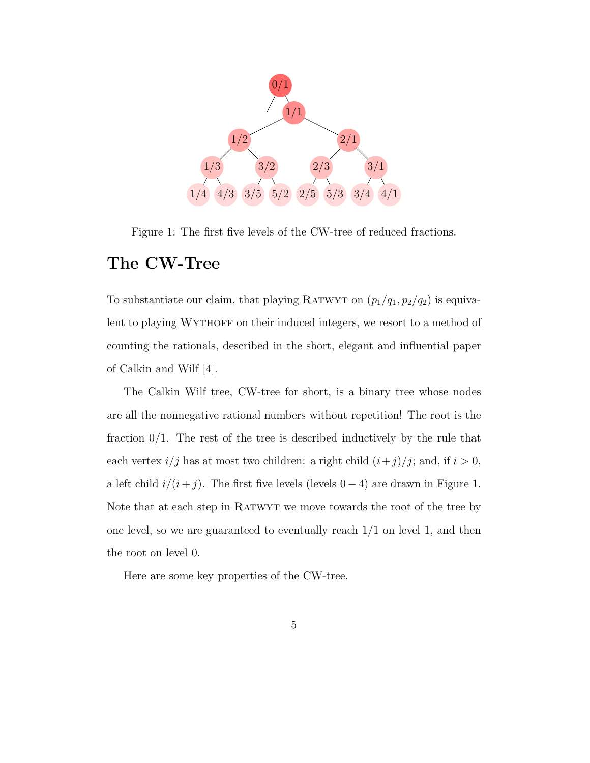

Figure 1: The first five levels of the CW-tree of reduced fractions.

## The CW-Tree

To substantiate our claim, that playing RATWYT on  $(p_1/q_1, p_2/q_2)$  is equivalent to playing WYTHOFF on their induced integers, we resort to a method of counting the rationals, described in the short, elegant and influential paper of Calkin and Wilf [4].

The Calkin Wilf tree, CW-tree for short, is a binary tree whose nodes are all the nonnegative rational numbers without repetition! The root is the fraction  $0/1$ . The rest of the tree is described inductively by the rule that each vertex  $i/j$  has at most two children: a right child  $(i+j)/j$ ; and, if  $i > 0$ , a left child  $i/(i + j)$ . The first five levels (levels 0 − 4) are drawn in Figure 1. Note that at each step in Ratwyt we move towards the root of the tree by one level, so we are guaranteed to eventually reach  $1/1$  on level 1, and then the root on level 0.

Here are some key properties of the CW-tree.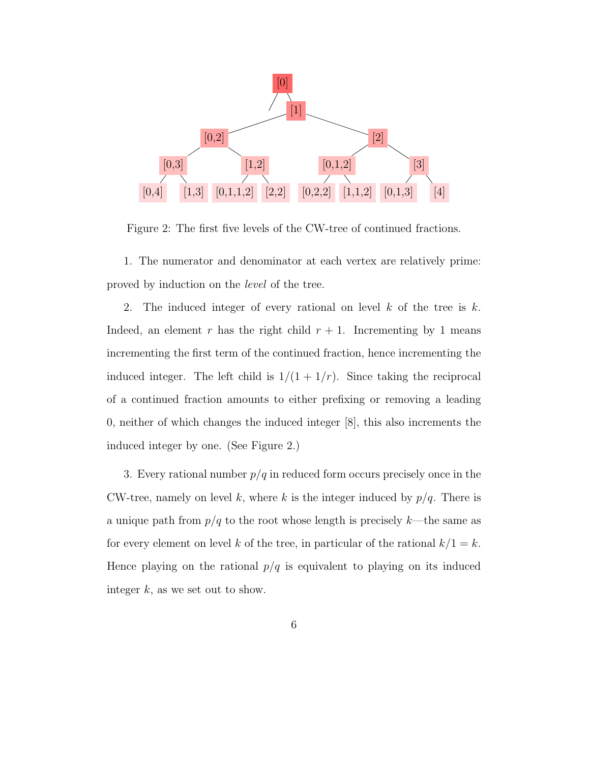

Figure 2: The first five levels of the CW-tree of continued fractions.

1. The numerator and denominator at each vertex are relatively prime: proved by induction on the level of the tree.

2. The induced integer of every rational on level  $k$  of the tree is  $k$ . Indeed, an element  $r$  has the right child  $r + 1$ . Incrementing by 1 means incrementing the first term of the continued fraction, hence incrementing the induced integer. The left child is  $1/(1 + 1/r)$ . Since taking the reciprocal of a continued fraction amounts to either prefixing or removing a leading 0, neither of which changes the induced integer [8], this also increments the induced integer by one. (See Figure 2.)

3. Every rational number  $p/q$  in reduced form occurs precisely once in the CW-tree, namely on level k, where k is the integer induced by  $p/q$ . There is a unique path from  $p/q$  to the root whose length is precisely  $k$ —the same as for every element on level k of the tree, in particular of the rational  $k/1 = k$ . Hence playing on the rational  $p/q$  is equivalent to playing on its induced integer  $k$ , as we set out to show.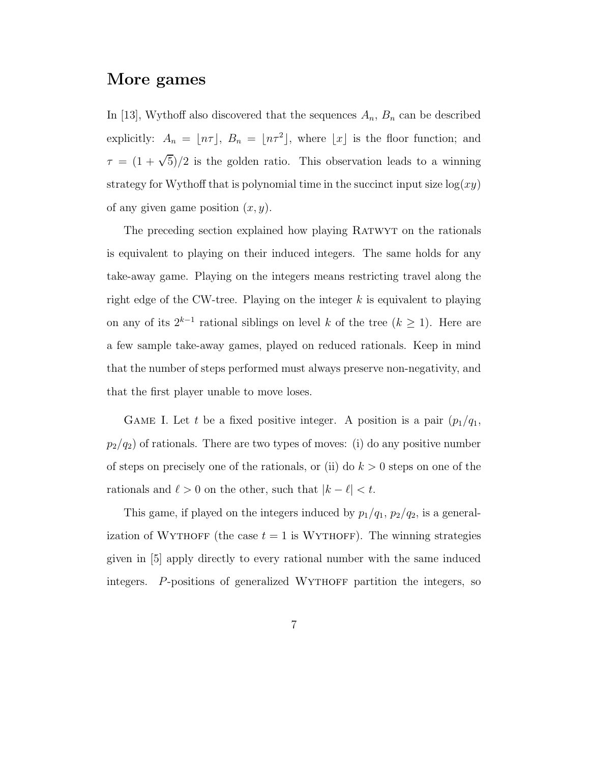#### More games

In [13], Wythoff also discovered that the sequences  $A_n$ ,  $B_n$  can be described explicitly:  $A_n = \lfloor n\tau \rfloor$ ,  $B_n = \lfloor n\tau^2 \rfloor$ , where  $\lfloor x \rfloor$  is the floor function; and  $\tau = (1 + \sqrt{5})/2$  is the golden ratio. This observation leads to a winning strategy for Wythoff that is polynomial time in the succinct input size  $log(xy)$ of any given game position  $(x, y)$ .

The preceding section explained how playing Ratwyt on the rationals is equivalent to playing on their induced integers. The same holds for any take-away game. Playing on the integers means restricting travel along the right edge of the CW-tree. Playing on the integer  $k$  is equivalent to playing on any of its  $2^{k-1}$  rational siblings on level k of the tree  $(k \ge 1)$ . Here are a few sample take-away games, played on reduced rationals. Keep in mind that the number of steps performed must always preserve non-negativity, and that the first player unable to move loses.

GAME I. Let t be a fixed positive integer. A position is a pair  $(p_1/q_1,$  $p_2/q_2$ ) of rationals. There are two types of moves: (i) do any positive number of steps on precisely one of the rationals, or (ii) do  $k > 0$  steps on one of the rationals and  $\ell > 0$  on the other, such that  $|k - \ell| < t$ .

This game, if played on the integers induced by  $p_1/q_1$ ,  $p_2/q_2$ , is a generalization of WYTHOFF (the case  $t = 1$  is WYTHOFF). The winning strategies given in [5] apply directly to every rational number with the same induced integers. P-positions of generalized WYTHOFF partition the integers, so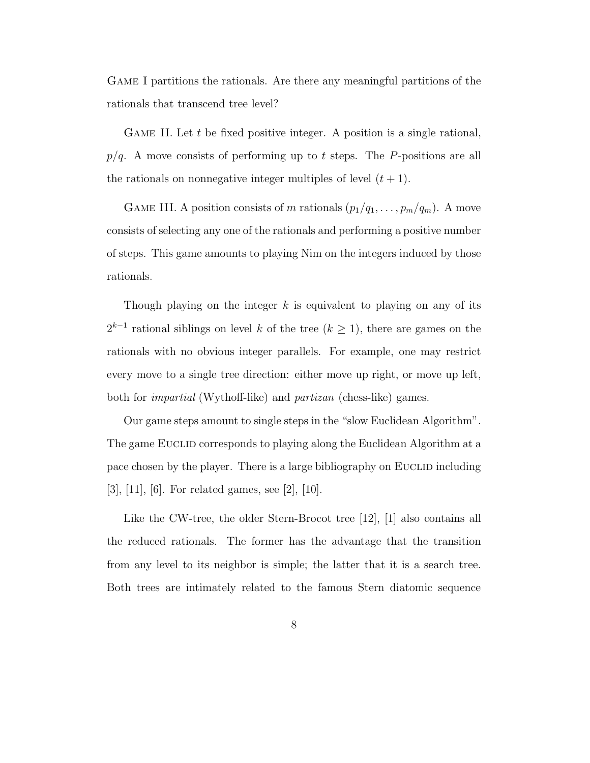Game I partitions the rationals. Are there any meaningful partitions of the rationals that transcend tree level?

GAME II. Let  $t$  be fixed positive integer. A position is a single rational,  $p/q$ . A move consists of performing up to t steps. The P-positions are all the rationals on nonnegative integer multiples of level  $(t + 1)$ .

GAME III. A position consists of m rationals  $(p_1/q_1, \ldots, p_m/q_m)$ . A move consists of selecting any one of the rationals and performing a positive number of steps. This game amounts to playing Nim on the integers induced by those rationals.

Though playing on the integer  $k$  is equivalent to playing on any of its  $2^{k-1}$  rational siblings on level k of the tree (k ≥ 1), there are games on the rationals with no obvious integer parallels. For example, one may restrict every move to a single tree direction: either move up right, or move up left, both for impartial (Wythoff-like) and partizan (chess-like) games.

Our game steps amount to single steps in the "slow Euclidean Algorithm". The game EUCLID corresponds to playing along the Euclidean Algorithm at a pace chosen by the player. There is a large bibliography on EUCLID including [3], [11], [6]. For related games, see [2], [10].

Like the CW-tree, the older Stern-Brocot tree [12], [1] also contains all the reduced rationals. The former has the advantage that the transition from any level to its neighbor is simple; the latter that it is a search tree. Both trees are intimately related to the famous Stern diatomic sequence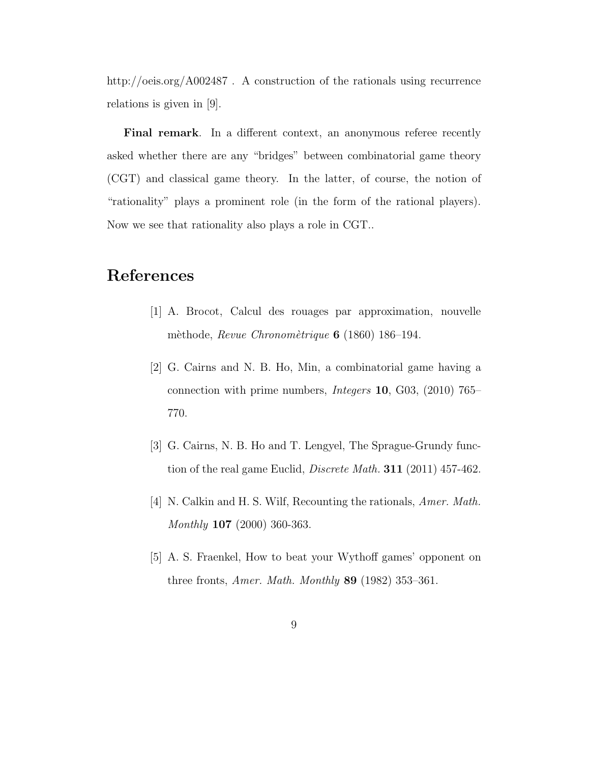http://oeis.org/A002487 . A construction of the rationals using recurrence relations is given in [9].

Final remark. In a different context, an anonymous referee recently asked whether there are any "bridges" between combinatorial game theory (CGT) and classical game theory. In the latter, of course, the notion of "rationality" plays a prominent role (in the form of the rational players). Now we see that rationality also plays a role in CGT..

## References

- [1] A. Brocot, Calcul des rouages par approximation, nouvelle mèthode, Revue Chronomètrique  $6$  (1860) 186–194.
- [2] G. Cairns and N. B. Ho, Min, a combinatorial game having a connection with prime numbers, Integers 10, G03, (2010) 765– 770.
- [3] G. Cairns, N. B. Ho and T. Lengyel, The Sprague-Grundy function of the real game Euclid, Discrete Math. 311 (2011) 457-462.
- [4] N. Calkin and H. S. Wilf, Recounting the rationals, *Amer. Math.* Monthly 107 (2000) 360-363.
- [5] A. S. Fraenkel, How to beat your Wythoff games' opponent on three fronts, *Amer. Math. Monthly* **89** (1982) 353-361.